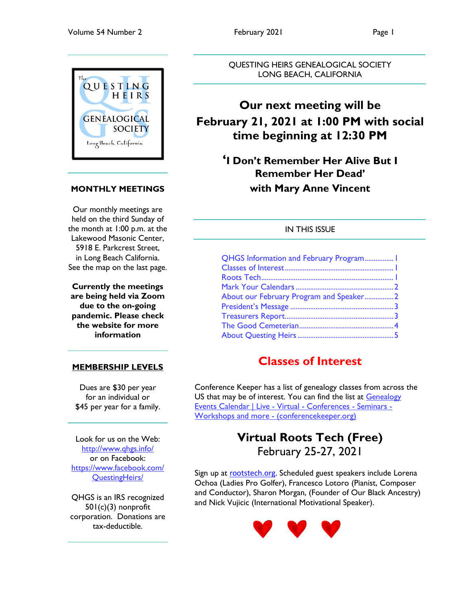

## **MONTHLY MEETINGS**

Our monthly meetings are held on the third Sunday of the month at 1:00 p.m. at the Lakewood Masonic Center, 5918 E. Parkcrest Street, in Long Beach California. See the map on the last page.

**Currently the meetings are being held via Zoom due to the on-going pandemic. Please check the website for more information**

## **MEMBERSHIP LEVELS**

Dues are \$30 per year for an individual or \$45 per year for a family.

Look for us on the Web: <http://www.qhgs.info/> or on Facebook: [https://www.facebook.com/](https://www.facebook.com/%20QuestingHeirs/)  [QuestingHeirs/](https://www.facebook.com/%20QuestingHeirs/)

QHGS is an IRS recognized 501(c)(3) nonprofit corporation. Donations are tax-deductible.

QUESTING HEIRS GENEALOGICAL SOCIETY LONG BEACH, CALIFORNIA

## **Our next meeting will be February 21, 2021 at 1:00 PM with social time beginning at 12:30 PM**

**'I Don't Remember Her Alive But I Remember Her Dead' with Mary Anne Vincent**

## IN THIS ISSUE

| QHGS Information and February Program 1 |  |
|-----------------------------------------|--|
|                                         |  |
|                                         |  |
|                                         |  |
| About our February Program and Speaker2 |  |
|                                         |  |
|                                         |  |
|                                         |  |
|                                         |  |

## **Classes of Interest**

Conference Keeper has a list of genealogy classes from across the US that may be of interest. You can find the list at Genealogy [Events Calendar | Live -](https://conferencekeeper.org/) Virtual - Conferences - Seminars - [Workshops and more -](https://conferencekeeper.org/) (conferencekeeper.org)

## **Virtual Roots Tech (Free)** February 25-27, 2021

Sign up at [rootstech.org.](https://www.rootstech.org/) Scheduled guest speakers include Lorena Ochoa (Ladies Pro Golfer), Francesco Lotoro (Pianist, Composer and Conductor), Sharon Morgan, (Founder of Our Black Ancestry) and Nick Vujicic (International Motivational Speaker).

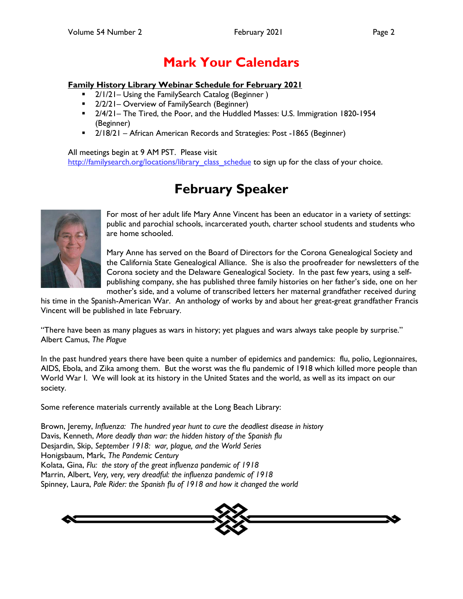# **Mark Your Calendars**

#### <span id="page-1-0"></span>**Family History Library Webinar Schedule for February 2021**

- 2/1/21– Using the FamilySearch Catalog (Beginner)
- **2/2/21– Overview of FamilySearch (Beginner)**
- 2/4/21– The Tired, the Poor, and the Huddled Masses: U.S. Immigration 1820-1954 (Beginner)
- 2/18/21 African American Records and Strategies: Post -1865 (Beginner)

All meetings begin at 9 AM PST. Please visit [http://familysearch.org/locations/library\\_class\\_schedue](http://familysearch.org/locations/library_class_schedue) to sign up for the class of your choice.

# **February Speaker**



For most of her adult life Mary Anne Vincent has been an educator in a variety of settings: public and parochial schools, incarcerated youth, charter school students and students who are home schooled.

Mary Anne has served on the Board of Directors for the Corona Genealogical Society and the California State Genealogical Alliance. She is also the proofreader for newsletters of the Corona society and the Delaware Genealogical Society. In the past few years, using a selfpublishing company, she has published three family histories on her father's side, one on her mother's side, and a volume of transcribed letters her maternal grandfather received during

his time in the Spanish-American War. An anthology of works by and about her great-great grandfather Francis Vincent will be published in late February.

"There have been as many plagues as wars in history; yet plagues and wars always take people by surprise." Albert Camus, *The Plague*

In the past hundred years there have been quite a number of epidemics and pandemics: flu, polio, Legionnaires, AIDS, Ebola, and Zika among them. But the worst was the flu pandemic of 1918 which killed more people than World War I. We will look at its history in the United States and the world, as well as its impact on our society.

Some reference materials currently available at the Long Beach Library:

Brown, Jeremy, *Influenza: The hundred year hunt to cure the deadliest disease in history* Davis, Kenneth, *More deadly than war: the hidden history of the Spanish flu* Desjardin, Skip, *September 1918: war, plague, and the World Series* Honigsbaum, Mark, *The Pandemic Century* Kolata, Gina, *Flu: the story of the great influenza pandemic of 1918* Marrin, Albert, *Very, very, very dreadful: the influenza pandemic of 1918* Spinney, Laura, *Pale Rider: the Spanish flu of 1918 and how it changed the world*

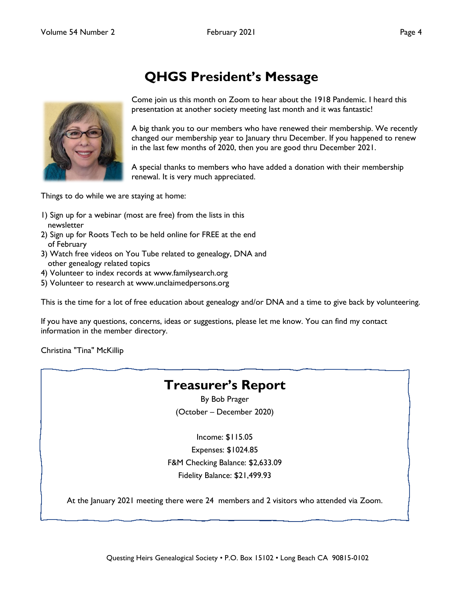<span id="page-2-0"></span>

# **QHGS President's Message**

Come join us this month on Zoom to hear about the 1918 Pandemic. I heard this presentation at another society meeting last month and it was fantastic!

A big thank you to our members who have renewed their membership. We recently changed our membership year to January thru December. If you happened to renew in the last few months of 2020, then you are good thru December 2021.

A special thanks to members who have added a donation with their membership renewal. It is very much appreciated.

Things to do while we are staying at home:

- 1) Sign up for a webinar (most are free) from the lists in this newsletter
- 2) Sign up for Roots Tech to be held online for FREE at the end of February
- 3) Watch free videos on You Tube related to genealogy, DNA and other genealogy related topics
- 4) Volunteer to index records at www.familysearch.org
- 5) Volunteer to research at www.unclaimedpersons.org

This is the time for a lot of free education about genealogy and/or DNA and a time to give back by volunteering.

If you have any questions, concerns, ideas or suggestions, please let me know. You can find my contact information in the member directory.

Christina "Tina" McKillip

## **Treasurer's Report**

By Bob Prager (October – December 2020)

Income: \$115.05 Expenses: \$1024.85 F&M Checking Balance: \$2,633.09 Fidelity Balance: \$21,499.93

At the January 2021 meeting there were 24 members and 2 visitors who attended via Zoom.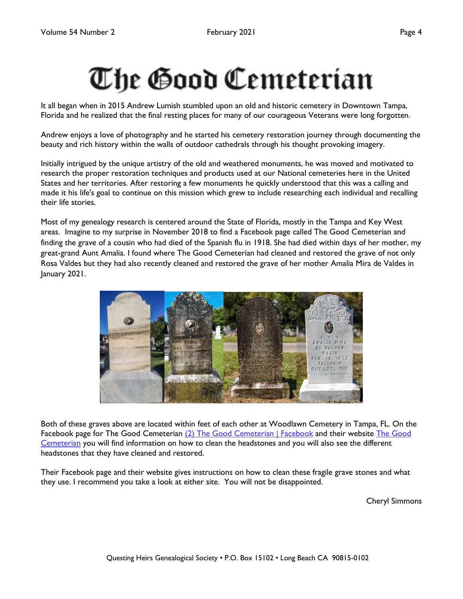# <span id="page-3-0"></span>The Good Cemeterian

It all began when in 2015 Andrew Lumish stumbled upon an old and historic cemetery in Downtown Tampa, Florida and he realized that the final resting places for many of our courageous Veterans were long forgotten.

Andrew enjoys a love of photography and he started his cemetery restoration journey through documenting the beauty and rich history within the walls of outdoor cathedrals through his thought provoking imagery.

Initially intrigued by the unique artistry of the old and weathered monuments, he was moved and motivated to research the proper restoration techniques and products used at our National cemeteries here in the United States and her territories. After restoring a few monuments he quickly understood that this was a calling and made it his life's goal to continue on this mission which grew to include researching each individual and recalling their life stories.

Most of my genealogy research is centered around the State of Florida, mostly in the Tampa and Key West areas. Imagine to my surprise in November 2018 to find a Facebook page called The Good Cemeterian and finding the grave of a cousin who had died of the Spanish flu in 1918. She had died within days of her mother, my great-grand Aunt Amalia. I found where The Good Cemeterian had cleaned and restored the grave of not only Rosa Valdes but they had also recently cleaned and restored the grave of her mother Amalia Mira de Valdes in January 2021.



Both of these graves above are located within feet of each other at Woodlawn Cemetery in Tampa, FL. On the Facebook page for The Good Cemeterian [\(2\) The Good Cemeterian | Facebook](https://www.facebook.com/TheGoodCemeterian/?ref=page_internal) and their website [The Good](https://www.thegoodcemeterian.org/)  [Cemeterian](https://www.thegoodcemeterian.org/) you will find information on how to clean the headstones and you will also see the different headstones that they have cleaned and restored.

Their Facebook page and their website gives instructions on how to clean these fragile grave stones and what they use. I recommend you take a look at either site. You will not be disappointed.

Cheryl Simmons